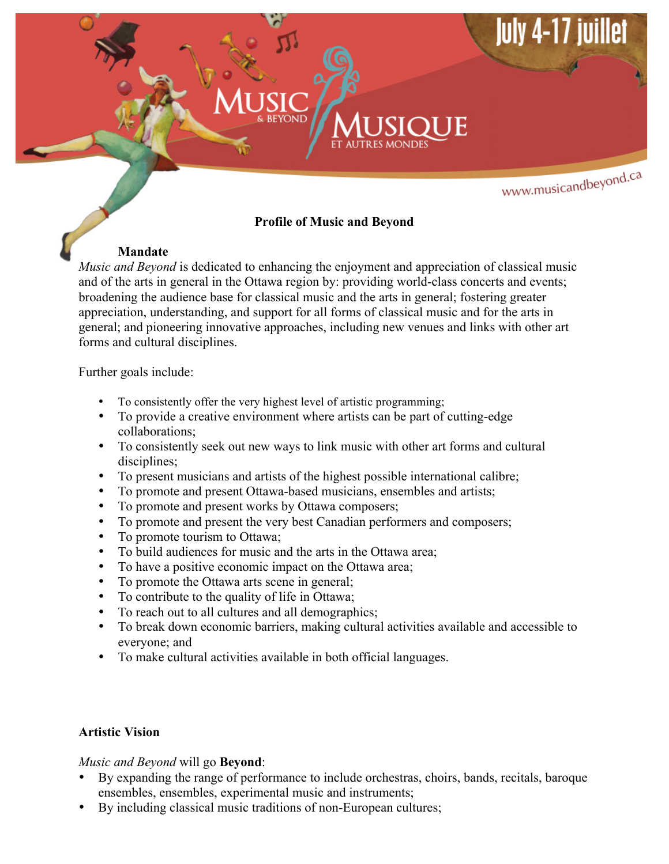# www.musicandbeyond.ca

## **Profile of Music and Beyond**

### **Mandate**

*Music and Beyond* is dedicated to enhancing the enjoyment and appreciation of classical music and of the arts in general in the Ottawa region by: providing world-class concerts and events; broadening the audience base for classical music and the arts in general; fostering greater appreciation, understanding, and support for all forms of classical music and for the arts in general; and pioneering innovative approaches, including new venues and links with other art forms and cultural disciplines.

Further goals include:

- To consistently offer the very highest level of artistic programming;
- To provide a creative environment where artists can be part of cutting-edge collaborations;
- To consistently seek out new ways to link music with other art forms and cultural disciplines;
- To present musicians and artists of the highest possible international calibre;
- To promote and present Ottawa-based musicians, ensembles and artists;
- To promote and present works by Ottawa composers;
- To promote and present the very best Canadian performers and composers;<br>• To promote tourism to Ottawa:
- To promote tourism to Ottawa;
- To build audiences for music and the arts in the Ottawa area;
- To have a positive economic impact on the Ottawa area;
- To promote the Ottawa arts scene in general;
- To contribute to the quality of life in Ottawa;
- To reach out to all cultures and all demographics;
- To break down economic barriers, making cultural activities available and accessible to everyone; and
- To make cultural activities available in both official languages.

### **Artistic Vision**

### *Music and Beyond* will go **Beyond**:

- By expanding the range of performance to include orchestras, choirs, bands, recitals, baroque ensembles, ensembles, experimental music and instruments;
- By including classical music traditions of non-European cultures;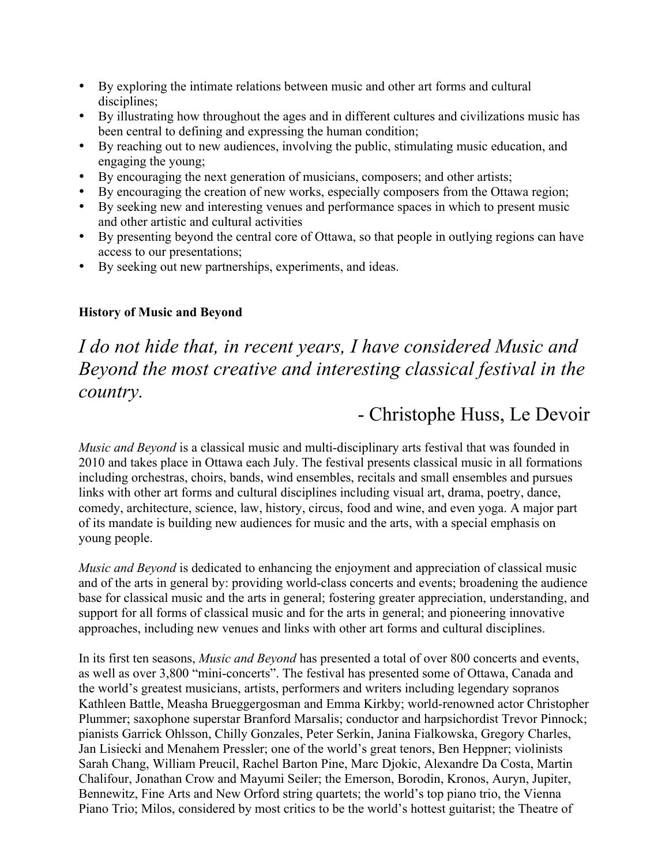- By exploring the intimate relations between music and other art forms and cultural disciplines;
- By illustrating how throughout the ages and in different cultures and civilizations music has been central to defining and expressing the human condition;
- By reaching out to new audiences, involving the public, stimulating music education, and engaging the young;
- By encouraging the next generation of musicians, composers; and other artists;
- By encouraging the creation of new works, especially composers from the Ottawa region;
- By seeking new and interesting venues and performance spaces in which to present music and other artistic and cultural activities
- By presenting beyond the central core of Ottawa, so that people in outlying regions can have access to our presentations;
- By seeking out new partnerships, experiments, and ideas.

### **History of Music and Beyond**

# *I do not hide that, in recent years, I have considered Music and Beyond the most creative and interesting classical festival in the country.*

# - Christophe Huss, Le Devoir

*Music and Beyond* is a classical music and multi-disciplinary arts festival that was founded in 2010 and takes place in Ottawa each July. The festival presents classical music in all formations including orchestras, choirs, bands, wind ensembles, recitals and small ensembles and pursues links with other art forms and cultural disciplines including visual art, drama, poetry, dance, comedy, architecture, science, law, history, circus, food and wine, and even yoga. A major part of its mandate is building new audiences for music and the arts, with a special emphasis on young people.

*Music and Beyond* is dedicated to enhancing the enjoyment and appreciation of classical music and of the arts in general by: providing world-class concerts and events; broadening the audience base for classical music and the arts in general; fostering greater appreciation, understanding, and support for all forms of classical music and for the arts in general; and pioneering innovative approaches, including new venues and links with other art forms and cultural disciplines.

In its first ten seasons, *Music and Beyond* has presented a total of over 800 concerts and events, as well as over 3,800 "mini-concerts". The festival has presented some of Ottawa, Canada and the world's greatest musicians, artists, performers and writers including legendary sopranos Kathleen Battle, Measha Brueggergosman and Emma Kirkby; world-renowned actor Christopher Plummer; saxophone superstar Branford Marsalis; conductor and harpsichordist Trevor Pinnock; pianists Garrick Ohlsson, Chilly Gonzales, Peter Serkin, Janina Fialkowska, Gregory Charles, Jan Lisiecki and Menahem Pressler; one of the world's great tenors, Ben Heppner; violinists Sarah Chang, William Preucil, Rachel Barton Pine, Marc Djokic, Alexandre Da Costa, Martin Chalifour, Jonathan Crow and Mayumi Seiler; the Emerson, Borodin, Kronos, Auryn, Jupiter, Bennewitz, Fine Arts and New Orford string quartets; the world's top piano trio, the Vienna Piano Trio; Milos, considered by most critics to be the world's hottest guitarist; the Theatre of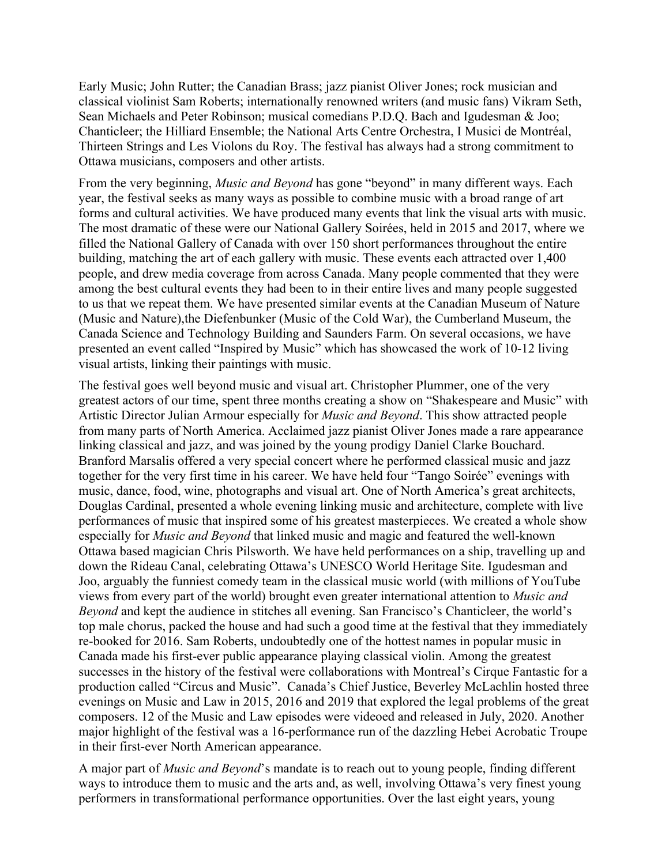Early Music; John Rutter; the Canadian Brass; jazz pianist Oliver Jones; rock musician and classical violinist Sam Roberts; internationally renowned writers (and music fans) Vikram Seth, Sean Michaels and Peter Robinson; musical comedians P.D.Q. Bach and Igudesman & Joo; Chanticleer; the Hilliard Ensemble; the National Arts Centre Orchestra, I Musici de Montréal, Thirteen Strings and Les Violons du Roy. The festival has always had a strong commitment to Ottawa musicians, composers and other artists.

From the very beginning, *Music and Beyond* has gone "beyond" in many different ways. Each year, the festival seeks as many ways as possible to combine music with a broad range of art forms and cultural activities. We have produced many events that link the visual arts with music. The most dramatic of these were our National Gallery Soirées, held in 2015 and 2017, where we filled the National Gallery of Canada with over 150 short performances throughout the entire building, matching the art of each gallery with music. These events each attracted over 1,400 people, and drew media coverage from across Canada. Many people commented that they were among the best cultural events they had been to in their entire lives and many people suggested to us that we repeat them. We have presented similar events at the Canadian Museum of Nature (Music and Nature),the Diefenbunker (Music of the Cold War), the Cumberland Museum, the Canada Science and Technology Building and Saunders Farm. On several occasions, we have presented an event called "Inspired by Music" which has showcased the work of 10-12 living visual artists, linking their paintings with music.

The festival goes well beyond music and visual art. Christopher Plummer, one of the very greatest actors of our time, spent three months creating a show on "Shakespeare and Music" with Artistic Director Julian Armour especially for *Music and Beyond*. This show attracted people from many parts of North America. Acclaimed jazz pianist Oliver Jones made a rare appearance linking classical and jazz, and was joined by the young prodigy Daniel Clarke Bouchard. Branford Marsalis offered a very special concert where he performed classical music and jazz together for the very first time in his career. We have held four "Tango Soirée" evenings with music, dance, food, wine, photographs and visual art. One of North America's great architects, Douglas Cardinal, presented a whole evening linking music and architecture, complete with live performances of music that inspired some of his greatest masterpieces. We created a whole show especially for *Music and Beyond* that linked music and magic and featured the well-known Ottawa based magician Chris Pilsworth. We have held performances on a ship, travelling up and down the Rideau Canal, celebrating Ottawa's UNESCO World Heritage Site. Igudesman and Joo, arguably the funniest comedy team in the classical music world (with millions of YouTube views from every part of the world) brought even greater international attention to *Music and Beyond* and kept the audience in stitches all evening. San Francisco's Chanticleer, the world's top male chorus, packed the house and had such a good time at the festival that they immediately re-booked for 2016. Sam Roberts, undoubtedly one of the hottest names in popular music in Canada made his first-ever public appearance playing classical violin. Among the greatest successes in the history of the festival were collaborations with Montreal's Cirque Fantastic for a production called "Circus and Music". Canada's Chief Justice, Beverley McLachlin hosted three evenings on Music and Law in 2015, 2016 and 2019 that explored the legal problems of the great composers. 12 of the Music and Law episodes were videoed and released in July, 2020. Another major highlight of the festival was a 16-performance run of the dazzling Hebei Acrobatic Troupe in their first-ever North American appearance.

A major part of *Music and Beyond*'s mandate is to reach out to young people, finding different ways to introduce them to music and the arts and, as well, involving Ottawa's very finest young performers in transformational performance opportunities. Over the last eight years, young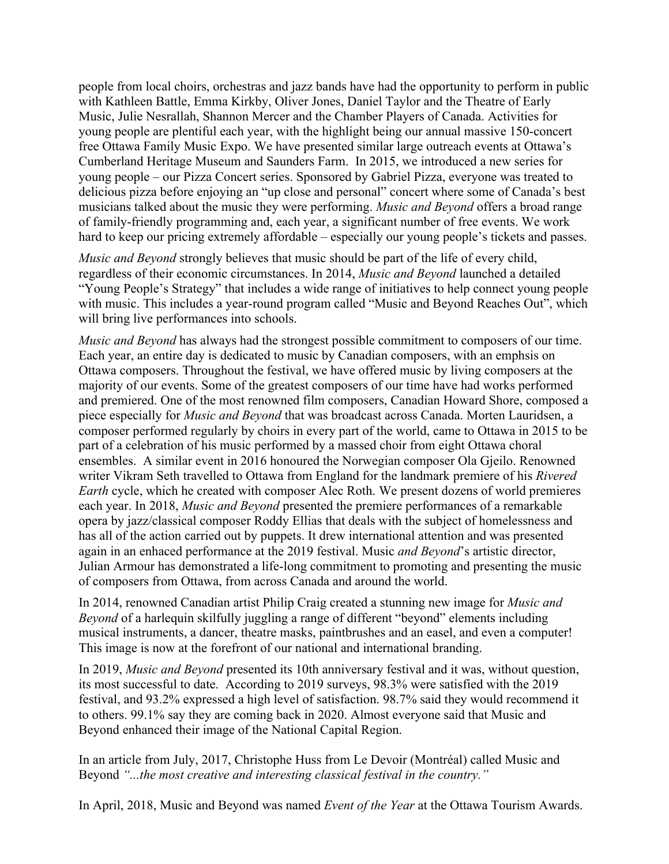people from local choirs, orchestras and jazz bands have had the opportunity to perform in public with Kathleen Battle, Emma Kirkby, Oliver Jones, Daniel Taylor and the Theatre of Early Music, Julie Nesrallah, Shannon Mercer and the Chamber Players of Canada. Activities for young people are plentiful each year, with the highlight being our annual massive 150-concert free Ottawa Family Music Expo. We have presented similar large outreach events at Ottawa's Cumberland Heritage Museum and Saunders Farm. In 2015, we introduced a new series for young people – our Pizza Concert series. Sponsored by Gabriel Pizza, everyone was treated to delicious pizza before enjoying an "up close and personal" concert where some of Canada's best musicians talked about the music they were performing. *Music and Beyond* offers a broad range of family-friendly programming and, each year, a significant number of free events. We work hard to keep our pricing extremely affordable – especially our young people's tickets and passes.

*Music and Beyond* strongly believes that music should be part of the life of every child, regardless of their economic circumstances. In 2014, *Music and Beyond* launched a detailed "Young People's Strategy" that includes a wide range of initiatives to help connect young people with music. This includes a year-round program called "Music and Beyond Reaches Out", which will bring live performances into schools.

*Music and Beyond* has always had the strongest possible commitment to composers of our time. Each year, an entire day is dedicated to music by Canadian composers, with an emphsis on Ottawa composers. Throughout the festival, we have offered music by living composers at the majority of our events. Some of the greatest composers of our time have had works performed and premiered. One of the most renowned film composers, Canadian Howard Shore, composed a piece especially for *Music and Beyond* that was broadcast across Canada. Morten Lauridsen, a composer performed regularly by choirs in every part of the world, came to Ottawa in 2015 to be part of a celebration of his music performed by a massed choir from eight Ottawa choral ensembles. A similar event in 2016 honoured the Norwegian composer Ola Gjeilo. Renowned writer Vikram Seth travelled to Ottawa from England for the landmark premiere of his *Rivered Earth* cycle, which he created with composer Alec Roth. We present dozens of world premieres each year. In 2018, *Music and Beyond* presented the premiere performances of a remarkable opera by jazz/classical composer Roddy Ellias that deals with the subject of homelessness and has all of the action carried out by puppets. It drew international attention and was presented again in an enhaced performance at the 2019 festival. Music *and Beyond*'s artistic director, Julian Armour has demonstrated a life-long commitment to promoting and presenting the music of composers from Ottawa, from across Canada and around the world.

In 2014, renowned Canadian artist Philip Craig created a stunning new image for *Music and Beyond* of a harlequin skilfully juggling a range of different "beyond" elements including musical instruments, a dancer, theatre masks, paintbrushes and an easel, and even a computer! This image is now at the forefront of our national and international branding.

In 2019, *Music and Beyond* presented its 10th anniversary festival and it was, without question, its most successful to date. According to 2019 surveys, 98.3% were satisfied with the 2019 festival, and 93.2% expressed a high level of satisfaction. 98.7% said they would recommend it to others. 99.1% say they are coming back in 2020. Almost everyone said that Music and Beyond enhanced their image of the National Capital Region.

In an article from July, 2017, Christophe Huss from Le Devoir (Montréal) called Music and Beyond *"...the most creative and interesting classical festival in the country."*

In April, 2018, Music and Beyond was named *Event of the Year* at the Ottawa Tourism Awards.